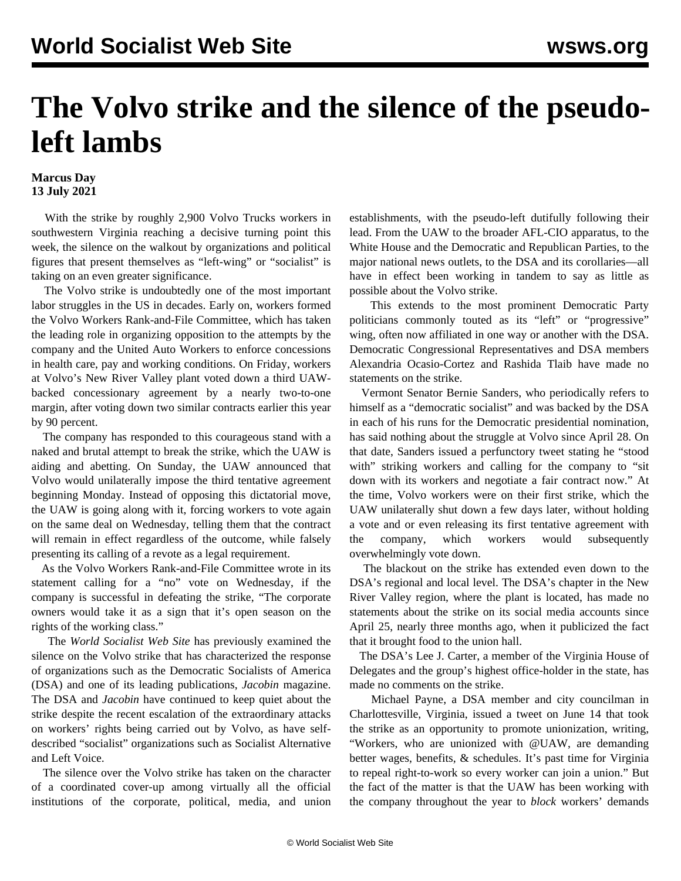## **The Volvo strike and the silence of the pseudoleft lambs**

## **Marcus Day 13 July 2021**

 With the strike by roughly 2,900 Volvo Trucks workers in southwestern Virginia reaching a decisive turning point this week, the silence on the walkout by organizations and political figures that present themselves as "left-wing" or "socialist" is taking on an even greater significance.

 The Volvo strike is undoubtedly one of the most important labor struggles in the US in decades. Early on, workers formed the Volvo Workers Rank-and-File Committee, which has taken the leading role in organizing opposition to the attempts by the company and the United Auto Workers to enforce concessions in health care, pay and working conditions. On Friday, workers at Volvo's New River Valley plant voted down a third UAWbacked concessionary agreement by a nearly two-to-one margin, after voting down two similar contracts earlier this year by 90 percent.

 The company has responded to this courageous stand with a naked and brutal attempt to break the strike, which the UAW is aiding and abetting. On Sunday, the UAW announced that Volvo would unilaterally impose the third tentative agreement beginning Monday. Instead of opposing this dictatorial move, the UAW is going along with it, forcing workers to vote again on the same deal on Wednesday, telling them that the contract will remain in effect regardless of the outcome, while falsely presenting its calling of a revote as a legal requirement.

 As the Volvo Workers Rank-and-File Committee wrote in its statement calling for a "no" vote on Wednesday, if the company is successful in defeating the strike, "The corporate owners would take it as a sign that it's open season on the rights of the working class."

 The *World Socialist Web Site* has [previously examined](/en/articles/2021/07/12/pers-j12.html) the silence on the Volvo strike that has characterized the response of organizations such as the Democratic Socialists of America (DSA) and one of its leading publications, *Jacobin* magazine. The DSA and *Jacobin* have continued to keep quiet about the strike despite the recent escalation of the extraordinary attacks on workers' rights being carried out by Volvo, as have selfdescribed "socialist" organizations such as Socialist Alternative and Left Voice.

 The silence over the Volvo strike has taken on the character of a coordinated cover-up among virtually all the official institutions of the corporate, political, media, and union establishments, with the pseudo-left dutifully following their lead. From the UAW to the broader AFL-CIO apparatus, to the White House and the Democratic and Republican Parties, to the major national news outlets, to the DSA and its corollaries—all have in effect been working in tandem to say as little as possible about the Volvo strike.

 This extends to the most prominent Democratic Party politicians commonly touted as its "left" or "progressive" wing, often now affiliated in one way or another with the DSA. Democratic Congressional Representatives and DSA members Alexandria Ocasio-Cortez and Rashida Tlaib have made no statements on the strike.

 Vermont Senator Bernie Sanders, who periodically refers to himself as a "democratic socialist" and was backed by the DSA in each of his runs for the Democratic presidential nomination, has said nothing about the struggle at Volvo since April 28. On that date, Sanders issued a perfunctory tweet stating he "stood with" striking workers and calling for the company to "sit" down with its workers and negotiate a fair contract now." At the time, Volvo workers were on their first strike, which the UAW unilaterally shut down a few days later, without holding a vote and or even releasing its first tentative agreement with the company, which workers would subsequently overwhelmingly vote down.

 The blackout on the strike has extended even down to the DSA's regional and local level. The DSA's chapter in the New River Valley region, where the plant is located, has made no statements about the strike on its social media accounts since April 25, nearly three months ago, when it publicized the fact that it brought food to the union hall.

 The DSA's Lee J. Carter, a member of the Virginia House of Delegates and the group's highest office-holder in the state, has made no comments on the strike.

 Michael Payne, a DSA member and city councilman in Charlottesville, Virginia, issued a tweet on June 14 that took the strike as an opportunity to promote unionization, writing, "Workers, who are unionized with @UAW, are demanding better wages, benefits, & schedules. It's past time for Virginia to repeal right-to-work so every worker can join a union." But the fact of the matter is that the UAW has been working with the company throughout the year to *block* workers' demands